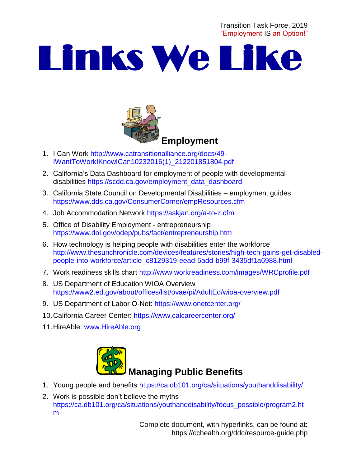Transition Task Force, 2019 "Employment IS an Option!"

# Links We Like



- 1. I Can Work [http://www.catransitionalliance.org/docs/49-](http://www.catransitionalliance.org/docs/49-IWantToWorkIKnowICan10232016(1)_212201851804.pdf) [IWantToWorkIKnowICan10232016\(1\)\\_212201851804.pdf](http://www.catransitionalliance.org/docs/49-IWantToWorkIKnowICan10232016(1)_212201851804.pdf)
- 2. California's Data Dashboard for employment of people with developmental disabilities [https://scdd.ca.gov/employment\\_data\\_dashboard](https://scdd.ca.gov/employment_data_dashboard)
- 3. California State Council on Developmental Disabilities employment guides <https://www.dds.ca.gov/ConsumerCorner/empResources.cfm>
- 4. Job Accommodation Network<https://askjan.org/a-to-z.cfm>
- 5. Office of Disability Employment entrepreneurship <https://www.dol.gov/odep/pubs/fact/entrepreneurship.htm>
- 6. How technology is helping people with disabilities enter the workforce [http://www.thesunchronicle.com/devices/features/stories/high-tech-gains-get-disabled](http://www.thesunchronicle.com/devices/features/stories/high-tech-gains-get-disabled-people-into-workforce/article_c8129319-eead-5add-b99f-3435df1a6988.html)[people-into-workforce/article\\_c8129319-eead-5add-b99f-3435df1a6988.html](http://www.thesunchronicle.com/devices/features/stories/high-tech-gains-get-disabled-people-into-workforce/article_c8129319-eead-5add-b99f-3435df1a6988.html)
- 7. Work readiness skills chart<http://www.workreadiness.com/images/WRCprofile.pdf>
- 8. US Department of Education WIOA Overview <https://www2.ed.gov/about/offices/list/ovae/pi/AdultEd/wioa-overview.pdf>
- 9. US Department of Labor O-Net:<https://www.onetcenter.org/>
- 10.California Career Center:<https://www.calcareercenter.org/>
- 11.HireAble: [www.HireAble.org](http://www.hireable.org/)



- 1. Young people and benefits<https://ca.db101.org/ca/situations/youthanddisability/>
- 2. Work is possible don't believe the myths [https://ca.db101.org/ca/situations/youthanddisability/focus\\_possible/program2.ht](https://ca.db101.org/ca/situations/youthanddisability/focus_possible/program2.htm) [m](https://ca.db101.org/ca/situations/youthanddisability/focus_possible/program2.htm)

Complete document, with hyperlinks, can be found at: https://cchealth.org/ddc/resource-guide.php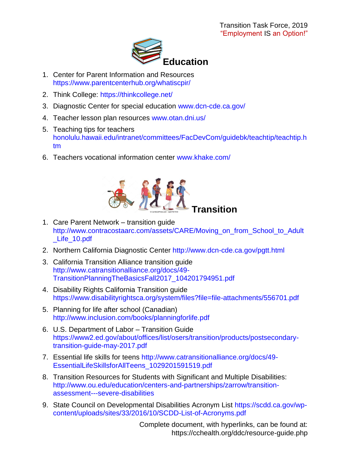

- 1. Center for Parent Information and Resources <https://www.parentcenterhub.org/whatiscpir/>
- 2. Think College:<https://thinkcollege.net/>
- 3. Diagnostic Center for special education [www.dcn-cde.ca.gov/](http://www.dcn-cde.ca.gov/)
- 4. Teacher lesson plan resources [www.otan.dni.us/](http://www.otan.dni.us/)
- 5. Teaching tips for teachers [honolulu.hawaii.edu/intranet/committees/FacDevCom/guidebk/teachtip/teachtip.h](http://honolulu.hawaii.edu/intranet/committees/FacDevCom/guidebk/teachtip/teachtip.htm) [tm](http://honolulu.hawaii.edu/intranet/committees/FacDevCom/guidebk/teachtip/teachtip.htm)
- 6. Teachers vocational information center [www.khake.com/](http://www.khake.com/)



- 1. Care Parent Network transition guide [http://www.contracostaarc.com/assets/CARE/Moving\\_on\\_from\\_School\\_to\\_Adult](http://www.contracostaarc.com/assets/CARE/Moving_on_from_School_to_Adult_Life_10.pdf) [\\_Life\\_10.pdf](http://www.contracostaarc.com/assets/CARE/Moving_on_from_School_to_Adult_Life_10.pdf)
- 2. Northern California Diagnostic Center<http://www.dcn-cde.ca.gov/pgtt.html>
- 3. California Transition Alliance transition guide [http://www.catransitionalliance.org/docs/49-](http://www.catransitionalliance.org/docs/49-TransitionPlanningTheBasicsFall2017_104201794951.pdf) [TransitionPlanningTheBasicsFall2017\\_104201794951.pdf](http://www.catransitionalliance.org/docs/49-TransitionPlanningTheBasicsFall2017_104201794951.pdf)
- 4. Disability Rights California Transition guide <https://www.disabilityrightsca.org/system/files?file=file-attachments/556701.pdf>
- 5. Planning for life after school (Canadian) <http://www.inclusion.com/books/planningforlife.pdf>
- 6. U.S. Department of Labor Transition Guide [https://www2.ed.gov/about/offices/list/osers/transition/products/postsecondary](https://www2.ed.gov/about/offices/list/osers/transition/products/postsecondary-transition-guide-may-2017.pdf)[transition-guide-may-2017.pdf](https://www2.ed.gov/about/offices/list/osers/transition/products/postsecondary-transition-guide-may-2017.pdf)
- 7. Essential life skills for teens [http://www.catransitionalliance.org/docs/49-](http://www.catransitionalliance.org/docs/49-EssentialLifeSkillsforAllTeens_1029201591519.pdf) [EssentialLifeSkillsforAllTeens\\_1029201591519.pdf](http://www.catransitionalliance.org/docs/49-EssentialLifeSkillsforAllTeens_1029201591519.pdf)
- 8. Transition Resources for Students with Significant and Multiple Disabilities: [http://www.ou.edu/education/centers-and-partnerships/zarrow/transition](http://www.ou.edu/education/centers-and-partnerships/zarrow/transition-assessment---severe-disabilities)[assessment---severe-disabilities](http://www.ou.edu/education/centers-and-partnerships/zarrow/transition-assessment---severe-disabilities)
- 9. State Council on Developmental Disabilities Acronym List [https://scdd.ca.gov/wp](https://scdd.ca.gov/wp-content/uploads/sites/33/2016/10/SCDD-List-of-Acronyms.pdf)[content/uploads/sites/33/2016/10/SCDD-List-of-Acronyms.pdf](https://scdd.ca.gov/wp-content/uploads/sites/33/2016/10/SCDD-List-of-Acronyms.pdf)

Complete document, with hyperlinks, can be found at: https://cchealth.org/ddc/resource-guide.php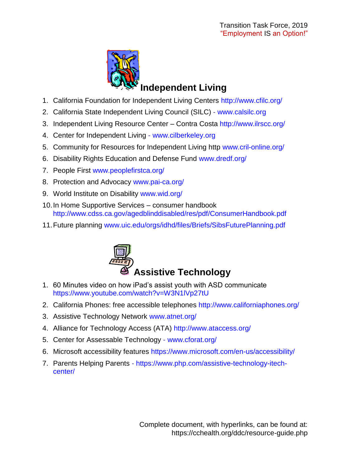

## **Independent Living**

- 1. California Foundation for Independent Living Centers<http://www.cfilc.org/>
- 2. California State Independent Living Council (SILC) [www.calsilc.org](http://www.calsilc.org/)
- 3. Independent Living Resource Center Contra Costa<http://www.ilrscc.org/>
- 4. Center for Independent Living [www.cilberkeley.org](http://www.cilberkeley.org/)
- 5. Community for Resources for Independent Living http [www.cril-online.org/](http://www.cril-online.org/)
- 6. Disability Rights Education and Defense Fund [www.dredf.org/](http://www.dredf.org/)
- 7. People First [www.peoplefirstca.org/](http://www.peoplefirstca.org/)
- 8. Protection and Advocacy [www.pai-ca.org/](http://www.pai-ca.org/)
- 9. World Institute on Disability [www.wid.org/](http://www.wid.org/)
- 10.In Home Supportive Services consumer handbook <http://www.cdss.ca.gov/agedblinddisabled/res/pdf/ConsumerHandbook.pdf>
- 11.Future planning [www.uic.edu/orgs/idhd/files/Briefs/SibsFuturePlanning.pdf](http://www.uic.edu/orgs/idhd/files/Briefs/SibsFuturePlanning.pdf)



- 1. 60 Minutes video on how iPad's assist youth with ASD communicate <https://www.youtube.com/watch?v=W3N1lVp27tU>
- 2. California Phones: free accessible telephones<http://www.californiaphones.org/>
- 3. Assistive Technology Network [www.atnet.org/](http://www.atnet.org/)
- 4. Alliance for Technology Access (ATA)<http://www.ataccess.org/>
- 5. Center for Assessable Technology [www.cforat.org/](http://www.cforat.org/)
- 6. Microsoft accessibility features<https://www.microsoft.com/en-us/accessibility/>
- 7. Parents Helping Parents [https://www.php.com/assistive-technology-itech](https://www.php.com/assistive-technology-itech-center/)[center/](https://www.php.com/assistive-technology-itech-center/)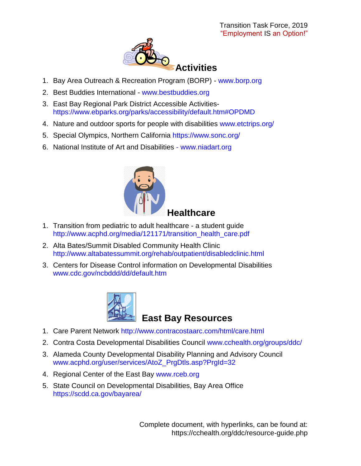

- 1. Bay Area Outreach & Recreation Program (BORP) [www.borp.org](http://www.borp.org/)
- 2. Best Buddies International [www.bestbuddies.org](http://www.bestbuddies.org/)
- 3. East Bay Regional Park District Accessible Activities<https://www.ebparks.org/parks/accessibility/default.htm#OPDMD>
- 4. Nature and outdoor sports for people with disabilities [www.etctrips.org/](http://www.etctrips.org/)
- 5. Special Olympics, Northern California<https://www.sonc.org/>
- 6. National Institute of Art and Disabilities [www.niadart.org](http://www.niadart.org/)



- 1. Transition from pediatric to adult healthcare a student guide [http://www.acphd.org/media/121171/transition\\_health\\_care.pdf](http://www.acphd.org/media/121171/transition_health_care.pdf)
- 2. Alta Bates/Summit Disabled Community Health Clinic http://www.altabatessummit.org/rehab/outpatient/disabledclinic.html
- 3. Centers for Disease Control information on Developmental Disabilities [www.cdc.gov/ncbddd/dd/default.htm](http://www.cdc.gov/ncbddd/dd/default.htm)



#### **East Bay Resources**

- 1. Care Parent Network<http://www.contracostaarc.com/html/care.html>
- 2. Contra Costa Developmental Disabilities Council [www.cchealth.org/groups/ddc/](http://www.cchealth.org/groups/ddc/)
- 3. Alameda County Developmental Disability Planning and Advisory Council [www.acphd.org/user/services/AtoZ\\_PrgDtls.asp?PrgId=32](http://www.acphd.org/user/services/AtoZ_PrgDtls.asp?PrgId=32)
- 4. Regional Center of the East Bay [www.rceb.org](http://www.rceb.org/)
- 5. State Council on Developmental Disabilities, Bay Area Office <https://scdd.ca.gov/bayarea/>

Complete document, with hyperlinks, can be found at: https://cchealth.org/ddc/resource-guide.php